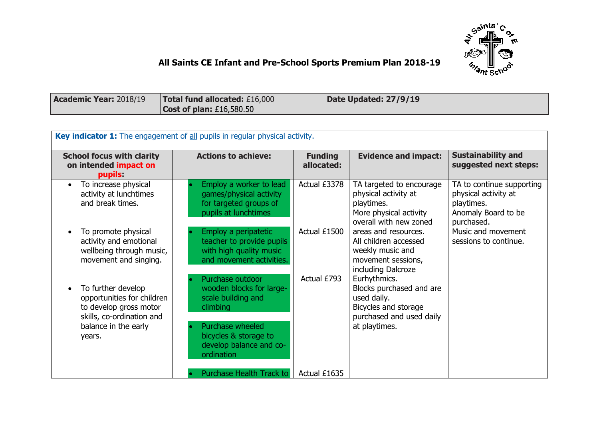

## **All Saints CE Infant and Pre-School Sports Premium Plan 2018-19**

| <b>Academic Year: 2018/19</b> | Total fund allocated: £16,000 | Date Updated: 27/9/19 |
|-------------------------------|-------------------------------|-----------------------|
|                               | Cost of plan: $£16,580.50$    |                       |

| Key indicator 1: The engagement of all pupils in regular physical activity.                                                               |                                                                                                                                                                      |                              |                                                                                                                              |                                                                                                      |  |
|-------------------------------------------------------------------------------------------------------------------------------------------|----------------------------------------------------------------------------------------------------------------------------------------------------------------------|------------------------------|------------------------------------------------------------------------------------------------------------------------------|------------------------------------------------------------------------------------------------------|--|
| <b>School focus with clarity</b><br>on intended impact on<br>pupils:                                                                      | <b>Actions to achieve:</b>                                                                                                                                           | <b>Funding</b><br>allocated: | <b>Evidence and impact:</b>                                                                                                  | <b>Sustainability and</b><br>suggested next steps:                                                   |  |
| To increase physical<br>activity at lunchtimes<br>and break times.                                                                        | Employ a worker to lead<br>games/physical activity<br>for targeted groups of<br>pupils at lunchtimes                                                                 | Actual £3378                 | TA targeted to encourage<br>physical activity at<br>playtimes.<br>More physical activity<br>overall with new zoned           | TA to continue supporting<br>physical activity at<br>playtimes.<br>Anomaly Board to be<br>purchased. |  |
| To promote physical<br>activity and emotional<br>wellbeing through music,<br>movement and singing.                                        | Employ a peripatetic<br>teacher to provide pupils<br>with high quality music<br>and movement activities.                                                             | Actual £1500                 | areas and resources.<br>All children accessed<br>weekly music and<br>movement sessions,<br>including Dalcroze                | Music and movement<br>sessions to continue.                                                          |  |
| To further develop<br>opportunities for children<br>to develop gross motor<br>skills, co-ordination and<br>balance in the early<br>years. | Purchase outdoor<br>wooden blocks for large-<br>scale building and<br>climbing<br>Purchase wheeled<br>bicycles & storage to<br>develop balance and co-<br>ordination | Actual £793                  | Eurhythmics.<br>Blocks purchased and are<br>used daily.<br>Bicycles and storage<br>purchased and used daily<br>at playtimes. |                                                                                                      |  |
|                                                                                                                                           | Purchase Health Track to                                                                                                                                             | Actual £1635                 |                                                                                                                              |                                                                                                      |  |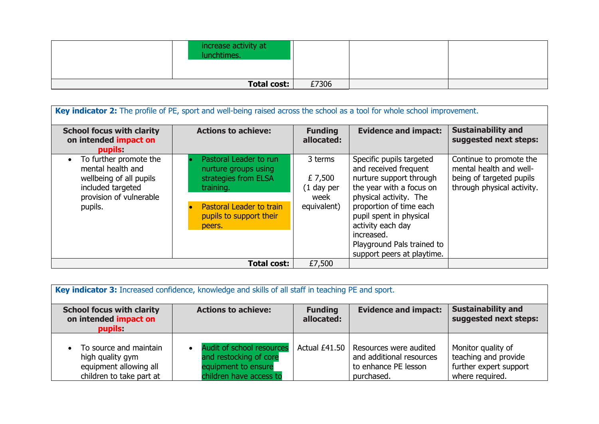| increase activity at<br>lunchtimes. |       |  |
|-------------------------------------|-------|--|
| <b>Total cost:</b>                  | £7306 |  |

| Key indicator 2: The profile of PE, sport and well-being raised across the school as a tool for whole school improvement.                      |                                                                                                                                                             |                                                           |                                                                                                                                                                                                                                                                                         |                                                                                                              |  |
|------------------------------------------------------------------------------------------------------------------------------------------------|-------------------------------------------------------------------------------------------------------------------------------------------------------------|-----------------------------------------------------------|-----------------------------------------------------------------------------------------------------------------------------------------------------------------------------------------------------------------------------------------------------------------------------------------|--------------------------------------------------------------------------------------------------------------|--|
| <b>School focus with clarity</b><br>on intended impact on<br>pupils:                                                                           | <b>Actions to achieve:</b>                                                                                                                                  | <b>Funding</b><br>allocated:                              | <b>Evidence and impact:</b>                                                                                                                                                                                                                                                             | <b>Sustainability and</b><br>suggested next steps:                                                           |  |
| To further promote the<br>$\bullet$<br>mental health and<br>wellbeing of all pupils<br>included targeted<br>provision of vulnerable<br>pupils. | Pastoral Leader to run<br>nurture groups using<br>strategies from ELSA<br>training.<br><b>Pastoral Leader to train</b><br>pupils to support their<br>peers. | 3 terms<br>£ 7,500<br>$(1$ day per<br>week<br>equivalent) | Specific pupils targeted<br>and received frequent<br>nurture support through<br>the year with a focus on<br>physical activity. The<br>proportion of time each<br>pupil spent in physical<br>activity each day<br>increased.<br>Playground Pals trained to<br>support peers at playtime. | Continue to promote the<br>mental health and well-<br>being of targeted pupils<br>through physical activity. |  |
| £7,500<br><b>Total cost:</b>                                                                                                                   |                                                                                                                                                             |                                                           |                                                                                                                                                                                                                                                                                         |                                                                                                              |  |

| Key indicator 3: Increased confidence, knowledge and skills of all staff in teaching PE and sport. |                                                                                                       |                              |                                                                                                          |                                                                                         |  |
|----------------------------------------------------------------------------------------------------|-------------------------------------------------------------------------------------------------------|------------------------------|----------------------------------------------------------------------------------------------------------|-----------------------------------------------------------------------------------------|--|
| <b>School focus with clarity</b><br>on intended impact on<br>pupils:                               | <b>Actions to achieve:</b>                                                                            | <b>Funding</b><br>allocated: | <b>Evidence and impact:</b>                                                                              | <b>Sustainability and</b><br>suggested next steps:                                      |  |
| • To source and maintain<br>high quality gym<br>equipment allowing all<br>children to take part at | Audit of school resources<br>and restocking of core<br>equipment to ensure<br>children have access to |                              | Actual £41.50   Resources were audited<br>and additional resources<br>to enhance PE lesson<br>purchased. | Monitor quality of<br>teaching and provide<br>further expert support<br>where required. |  |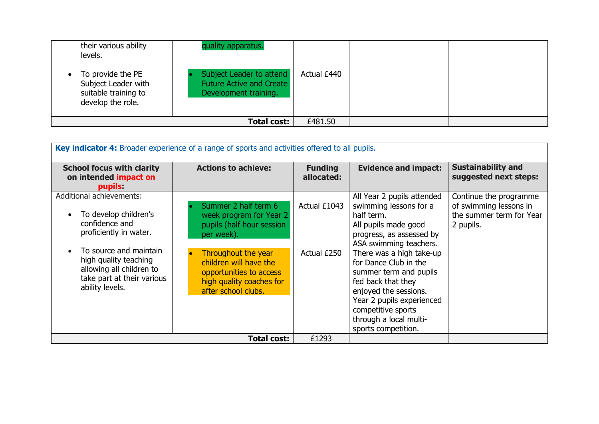| levels. | their various ability<br>To provide the PE<br>Subject Leader with<br>suitable training to<br>develop the role. | quality apparatus.<br>Subject Leader to attend<br><b>Future Active and Create</b><br>Development training. | Actual £440 |  |
|---------|----------------------------------------------------------------------------------------------------------------|------------------------------------------------------------------------------------------------------------|-------------|--|
|         |                                                                                                                | <b>Total cost:</b>                                                                                         | £481.50     |  |

| Key indicator 4: Broader experience of a range of sports and activities offered to all pupils.                               |                                                                                                                             |                              |                                                                                                                                                                                                                                |                                                                                           |  |
|------------------------------------------------------------------------------------------------------------------------------|-----------------------------------------------------------------------------------------------------------------------------|------------------------------|--------------------------------------------------------------------------------------------------------------------------------------------------------------------------------------------------------------------------------|-------------------------------------------------------------------------------------------|--|
| <b>School focus with clarity</b><br>on intended impact on<br>pupils:                                                         | <b>Actions to achieve:</b>                                                                                                  | <b>Funding</b><br>allocated: | <b>Evidence and impact:</b>                                                                                                                                                                                                    | <b>Sustainability and</b><br>suggested next steps:                                        |  |
| <b>Additional achievements:</b><br>To develop children's<br>confidence and<br>proficiently in water.                         | Summer 2 half term 6<br>week program for Year 2<br>pupils (half hour session<br>per week).                                  | Actual £1043                 | All Year 2 pupils attended<br>swimming lessons for a<br>half term.<br>All pupils made good<br>progress, as assessed by<br>ASA swimming teachers.                                                                               | Continue the programme<br>of swimming lessons in<br>the summer term for Year<br>2 pupils. |  |
| To source and maintain<br>high quality teaching<br>allowing all children to<br>take part at their various<br>ability levels. | Throughout the year<br>children will have the<br>opportunities to access<br>high quality coaches for<br>after school clubs. | Actual £250                  | There was a high take-up<br>for Dance Club in the<br>summer term and pupils<br>fed back that they<br>enjoyed the sessions.<br>Year 2 pupils experienced<br>competitive sports<br>through a local multi-<br>sports competition. |                                                                                           |  |
|                                                                                                                              | <b>Total cost:</b>                                                                                                          | £1293                        |                                                                                                                                                                                                                                |                                                                                           |  |